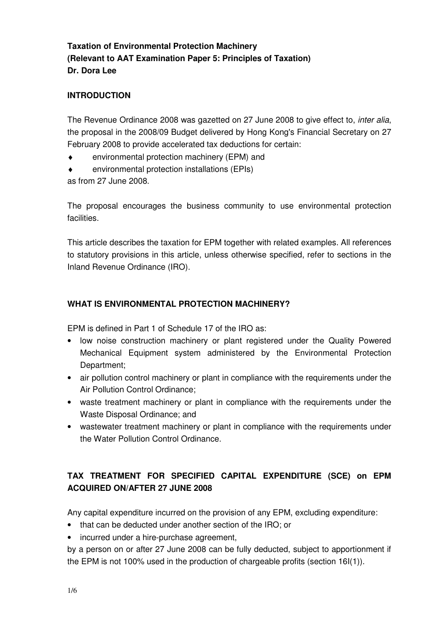# **Taxation of Environmental Protection Machinery (Relevant to AAT Examination Paper 5: Principles of Taxation) Dr. Dora Lee**

### **INTRODUCTION**

The Revenue Ordinance 2008 was gazetted on 27 June 2008 to give effect to, inter alia, the proposal in the 2008/09 Budget delivered by Hong Kong's Financial Secretary on 27 February 2008 to provide accelerated tax deductions for certain:

- ♦ environmental protection machinery (EPM) and
- environmental protection installations (EPIs)

as from 27 June 2008.

The proposal encourages the business community to use environmental protection facilities.

This article describes the taxation for EPM together with related examples. All references to statutory provisions in this article, unless otherwise specified, refer to sections in the Inland Revenue Ordinance (IRO).

## **WHAT IS ENVIRONMENTAL PROTECTION MACHINERY?**

EPM is defined in Part 1 of Schedule 17 of the IRO as:

- low noise construction machinery or plant registered under the Quality Powered Mechanical Equipment system administered by the Environmental Protection Department;
- air pollution control machinery or plant in compliance with the requirements under the Air Pollution Control Ordinance;
- waste treatment machinery or plant in compliance with the requirements under the Waste Disposal Ordinance; and
- wastewater treatment machinery or plant in compliance with the requirements under the Water Pollution Control Ordinance.

# **TAX TREATMENT FOR SPECIFIED CAPITAL EXPENDITURE (SCE) on EPM ACQUIRED ON/AFTER 27 JUNE 2008**

Any capital expenditure incurred on the provision of any EPM, excluding expenditure:

- that can be deducted under another section of the IRO; or
- incurred under a hire-purchase agreement,

by a person on or after 27 June 2008 can be fully deducted, subject to apportionment if the EPM is not 100% used in the production of chargeable profits (section 16I(1)).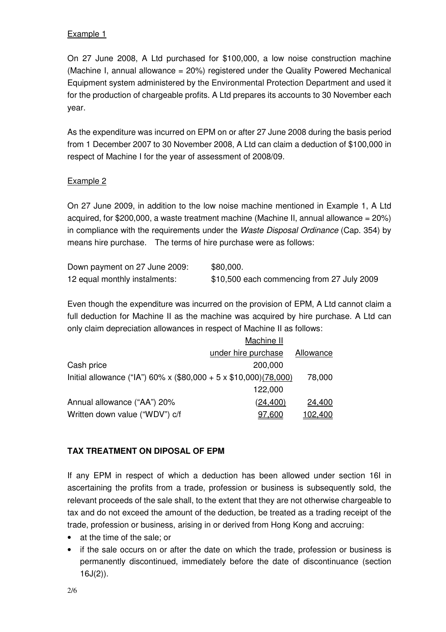#### Example 1

On 27 June 2008, A Ltd purchased for \$100,000, a low noise construction machine (Machine I, annual allowance  $= 20\%$ ) registered under the Quality Powered Mechanical Equipment system administered by the Environmental Protection Department and used it for the production of chargeable profits. A Ltd prepares its accounts to 30 November each year.

As the expenditure was incurred on EPM on or after 27 June 2008 during the basis period from 1 December 2007 to 30 November 2008, A Ltd can claim a deduction of \$100,000 in respect of Machine I for the year of assessment of 2008/09.

### Example 2

On 27 June 2009, in addition to the low noise machine mentioned in Example 1, A Ltd acquired, for \$200,000, a waste treatment machine (Machine II, annual allowance =  $20\%$ ) in compliance with the requirements under the Waste Disposal Ordinance (Cap. 354) by means hire purchase. The terms of hire purchase were as follows:

| Down payment on 27 June 2009: | \$80,000.                                  |
|-------------------------------|--------------------------------------------|
| 12 equal monthly instalments: | \$10,500 each commencing from 27 July 2009 |

Even though the expenditure was incurred on the provision of EPM, A Ltd cannot claim a full deduction for Machine II as the machine was acquired by hire purchase. A Ltd can only claim depreciation allowances in respect of Machine II as follows:

|                                                                  | Machine II          |           |
|------------------------------------------------------------------|---------------------|-----------|
|                                                                  | under hire purchase | Allowance |
| Cash price                                                       | 200,000             |           |
| Initial allowance ("IA") 60% x (\$80,000 + 5 x \$10,000)(78,000) |                     | 78,000    |
|                                                                  | 122,000             |           |
| Annual allowance ("AA") 20%                                      | (24, 400)           | 24,400    |
| Written down value ("WDV") c/f                                   | 97.600              | 102,400   |

## **TAX TREATMENT ON DIPOSAL OF EPM**

If any EPM in respect of which a deduction has been allowed under section 16I in ascertaining the profits from a trade, profession or business is subsequently sold, the relevant proceeds of the sale shall, to the extent that they are not otherwise chargeable to tax and do not exceed the amount of the deduction, be treated as a trading receipt of the trade, profession or business, arising in or derived from Hong Kong and accruing:

- at the time of the sale; or
- if the sale occurs on or after the date on which the trade, profession or business is permanently discontinued, immediately before the date of discontinuance (section  $16J(2)$ ).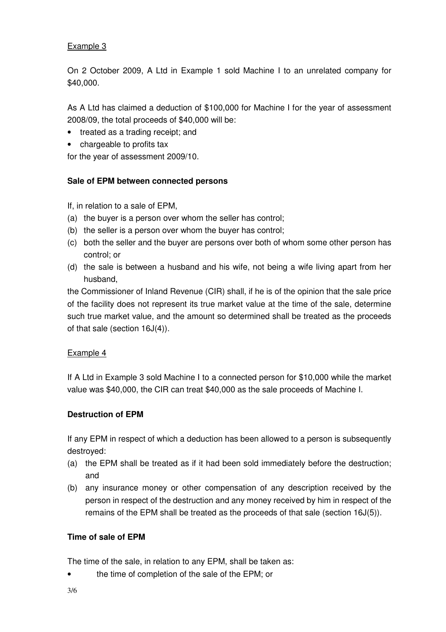#### Example 3

On 2 October 2009, A Ltd in Example 1 sold Machine I to an unrelated company for \$40,000.

As A Ltd has claimed a deduction of \$100,000 for Machine I for the year of assessment 2008/09, the total proceeds of \$40,000 will be:

- treated as a trading receipt; and
- chargeable to profits tax

for the year of assessment 2009/10.

### **Sale of EPM between connected persons**

If, in relation to a sale of EPM,

- (a) the buyer is a person over whom the seller has control;
- (b) the seller is a person over whom the buyer has control;
- (c) both the seller and the buyer are persons over both of whom some other person has control; or
- (d) the sale is between a husband and his wife, not being a wife living apart from her husband,

the Commissioner of Inland Revenue (CIR) shall, if he is of the opinion that the sale price of the facility does not represent its true market value at the time of the sale, determine such true market value, and the amount so determined shall be treated as the proceeds of that sale (section 16J(4)).

#### Example 4

If A Ltd in Example 3 sold Machine I to a connected person for \$10,000 while the market value was \$40,000, the CIR can treat \$40,000 as the sale proceeds of Machine I.

#### **Destruction of EPM**

If any EPM in respect of which a deduction has been allowed to a person is subsequently destroyed:

- (a) the EPM shall be treated as if it had been sold immediately before the destruction; and
- (b) any insurance money or other compensation of any description received by the person in respect of the destruction and any money received by him in respect of the remains of the EPM shall be treated as the proceeds of that sale (section 16J(5)).

## **Time of sale of EPM**

The time of the sale, in relation to any EPM, shall be taken as:

• the time of completion of the sale of the EPM; or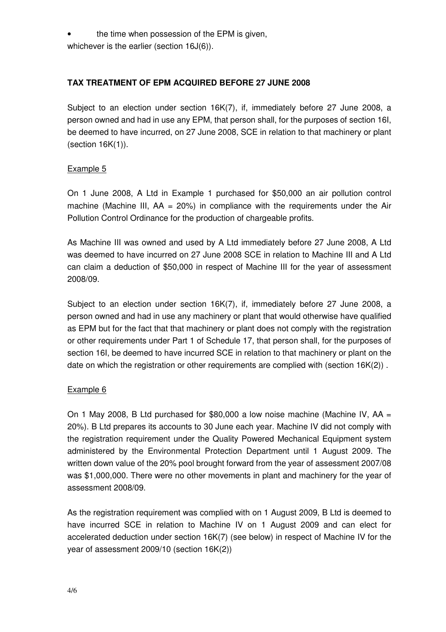the time when possession of the EPM is given,

whichever is the earlier (section 16J(6)).

## **TAX TREATMENT OF EPM ACQUIRED BEFORE 27 JUNE 2008**

Subject to an election under section 16K(7), if, immediately before 27 June 2008, a person owned and had in use any EPM, that person shall, for the purposes of section 16I, be deemed to have incurred, on 27 June 2008, SCE in relation to that machinery or plant (section 16K(1)).

#### Example 5

On 1 June 2008, A Ltd in Example 1 purchased for \$50,000 an air pollution control machine (Machine III,  $AA = 20\%)$  in compliance with the requirements under the Air Pollution Control Ordinance for the production of chargeable profits.

As Machine III was owned and used by A Ltd immediately before 27 June 2008, A Ltd was deemed to have incurred on 27 June 2008 SCE in relation to Machine III and A Ltd can claim a deduction of \$50,000 in respect of Machine III for the year of assessment 2008/09.

Subject to an election under section 16K(7), if, immediately before 27 June 2008, a person owned and had in use any machinery or plant that would otherwise have qualified as EPM but for the fact that that machinery or plant does not comply with the registration or other requirements under Part 1 of Schedule 17, that person shall, for the purposes of section 16I, be deemed to have incurred SCE in relation to that machinery or plant on the date on which the registration or other requirements are complied with (section 16K(2)) .

#### Example 6

On 1 May 2008, B Ltd purchased for \$80,000 a low noise machine (Machine IV,  $AA =$ 20%). B Ltd prepares its accounts to 30 June each year. Machine IV did not comply with the registration requirement under the Quality Powered Mechanical Equipment system administered by the Environmental Protection Department until 1 August 2009. The written down value of the 20% pool brought forward from the year of assessment 2007/08 was \$1,000,000. There were no other movements in plant and machinery for the year of assessment 2008/09.

As the registration requirement was complied with on 1 August 2009, B Ltd is deemed to have incurred SCE in relation to Machine IV on 1 August 2009 and can elect for accelerated deduction under section 16K(7) (see below) in respect of Machine IV for the year of assessment 2009/10 (section 16K(2))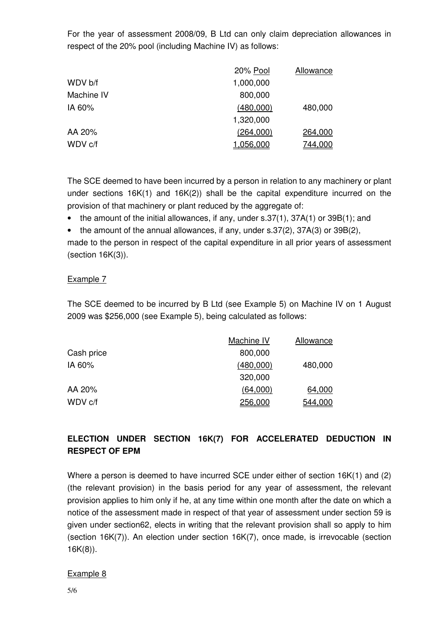For the year of assessment 2008/09, B Ltd can only claim depreciation allowances in respect of the 20% pool (including Machine IV) as follows:

|            | 20% Pool  | Allowance      |
|------------|-----------|----------------|
| WDV b/f    | 1,000,000 |                |
| Machine IV | 800,000   |                |
| IA 60%     | (480,000) | 480,000        |
|            | 1,320,000 |                |
| AA 20%     | (264,000) | 264,000        |
| WDV c/f    | 1,056,000 | <u>744,000</u> |

The SCE deemed to have been incurred by a person in relation to any machinery or plant under sections 16K(1) and 16K(2)) shall be the capital expenditure incurred on the provision of that machinery or plant reduced by the aggregate of:

- the amount of the initial allowances, if any, under s.37(1), 37A(1) or 39B(1); and
- the amount of the annual allowances, if any, under s.37(2), 37A(3) or 39B(2),

made to the person in respect of the capital expenditure in all prior years of assessment (section 16K(3)).

#### Example 7

The SCE deemed to be incurred by B Ltd (see Example 5) on Machine IV on 1 August 2009 was \$256,000 (see Example 5), being calculated as follows:

|            | Machine IV | Allowance |
|------------|------------|-----------|
| Cash price | 800,000    |           |
| IA 60%     | (480,000)  | 480,000   |
|            | 320,000    |           |
| AA 20%     | (64,000)   | 64,000    |
| WDV c/f    | 256,000    | 544,000   |

# **ELECTION UNDER SECTION 16K(7) FOR ACCELERATED DEDUCTION IN RESPECT OF EPM**

Where a person is deemed to have incurred SCE under either of section 16K(1) and (2) (the relevant provision) in the basis period for any year of assessment, the relevant provision applies to him only if he, at any time within one month after the date on which a notice of the assessment made in respect of that year of assessment under section 59 is given under section62, elects in writing that the relevant provision shall so apply to him (section 16K(7)). An election under section 16K(7), once made, is irrevocable (section 16K(8)).

#### Example 8